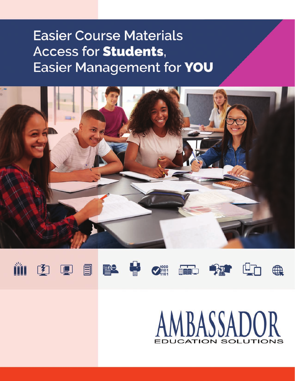## **Easier Course Materials Access for Students, Easier Management for YOU**





第甲目图











# AMBASSADOR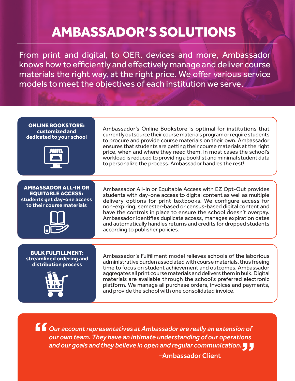## AMBASSADOR'S SOLUTIONS

From print and digital, to OER, devices and more, Ambassador knows how to efficiently and effectively manage and deliver course materials the right way, at the right price. We offer various service models to meet the objectives of each institution we serve.

ONLINE BOOKSTORE: **customized and dedicated to your school**



AMBASSADOR ALL-IN OR EQUITABLE ACCESS: **students get day-one access to their course materials**



Ambassador's Online Bookstore is optimal for institutions that currently outsource their course materials program or require students to procure and provide course materials on their own. Ambassador ensures that students are getting their course materials at the right price, when and where they need them. In most cases the school's workload is reduced to providing a booklist and minimal student data to personalize the process. Ambassador handles the rest!

Ambassador All-In or Equitable Access with EZ Opt-Out provides students with day-one access to digital content as well as multiple delivery options for print textbooks. We configure access for non-expiring, semester-based or census-based digital content and have the controls in place to ensure the school doesn't overpay. Ambassador identifies duplicate access, manages expiration dates and automatically handles returns and credits for dropped students according to publisher policies.

BULK FULFILLMENT: **streamlined ordering and distribution process**



Ambassador's Fulfillment model relieves schools of the laborious administrative burden associated with course materials, thus freeing time to focus on student achievement and outcomes. Ambassador aggregates all print course materials and delivers them in bulk. Digital materials are available through the school's preferred electronic platform. We manage all purchase orders, invoices and payments, and provide the school with one consolidated invoice.

*Our account representatives at Ambassador are really an extension of our own team. They have an intimate understanding of our operations and our goals and they believe in open and regular communication.* **""**

–Ambassador Client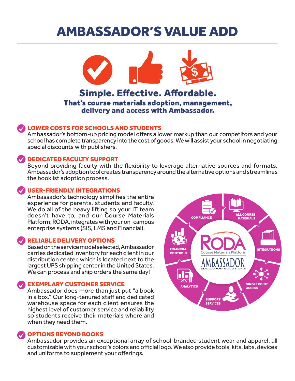### AMBASSADOR'S VALUE ADD



delivery and access with Ambassador.

### LOWER COSTS FOR SCHOOLS AND STUDENTS

Ambassador's bottom-up pricing model offers a lower markup than our competitors and your school has complete transparency into the cost of goods. We will assist your school in negotiating special discounts with publishers.

### DEDICATED FACULTY SUPPORT

Beyond providing faculty with the flexibility to leverage alternative sources and formats, Ambassador's adoption tool creates transparency around the alternative options and streamlines the booklist adoption process.

### USER-FRIENDLY INTEGRATIONS

Ambassador's technology simplifies the entire experience for parents, students and faculty. We do all of the heavy lifting so your IT team doesn't have to, and our Course Materials Platform, RODA, integrates with your on-campus enterprise systems (SIS, LMS and Financial).

### RELIABLE DELIVERY OPTIONS

Based on the service model selected, Ambassador carries dedicated inventory for each client in our distribution center, which is located next to the largest UPS shipping center in the United States. We can process and ship orders the same day!

#### EXEMPLARY CUSTOMER SERVICE

Ambassador does more than just put "a book in a box." Our long-tenured staff and dedicated warehouse space for each client ensures the highest level of customer service and reliability so students receive their materials where and when they need them.



Ambassador provides an exceptional array of school-branded student wear and apparel, all customizable with your school's colors and official logo. We also provide tools, kits, labs, devices and uniforms to supplement your offerings.

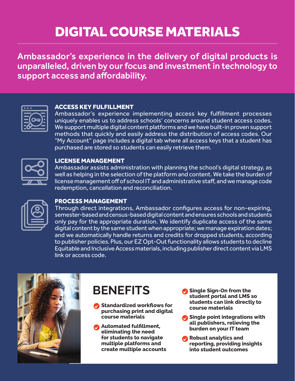# DIGITAL COURSE MATERIALS

Ambassador's experience in the delivery of digital products is unparalleled, driven by our focus and investment in technology to support access and affordability.



#### ACCESS KEY FULFILLMENT

Ambassador's experience implementing access key fulfillment processes uniquely enables us to address schools' concerns around student access codes. We support multiple digital content platforms and we have built-in proven support methods that quickly and easily address the distribution of access codes. Our "My Account" page includes a digital tab where all access keys that a student has purchased are stored so students can easily retrieve them.



#### LICENSE MANAGEMENT

Ambassador assists administration with planning the school's digital strategy, as well as helping in the selection of the platform and content. We take the burden of license management off of school IT and administrative staff, and we manage code redemption, cancellation and reconciliation.

|--|

### PROCESS MANAGEMENT

Through direct integrations, Ambassador configures access for non-expiring, semester-based and census-based digital content and ensures schools and students only pay for the appropriate duration. We identify duplicate access of the same digital content by the same student when appropriate; we manage expiration dates; and we automatically handle returns and credits for dropped students, according to publisher policies. Plus, our EZ Opt-Out functionality allows students to decline Equitable and Inclusive Access materials, including publisher direct content via LMS link or access code.



### **BENEFITS**

- **Standardized workflows for purchasing print and digital course materials**
- **Automated fulfillment, eliminating the need for students to navigate multiple platforms and create multiple accounts**
- **Single Sign-On from the student portal and LMS so students can link directly to course materials**
- **Single point integrations with all publishers, relieving the burden on your IT team**
- **Robust analytics and reporting, providing insights into student outcomes**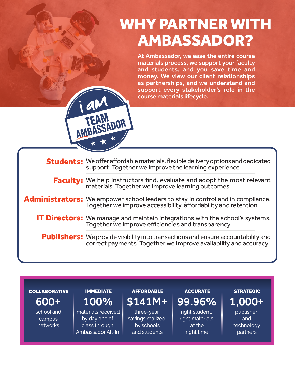# WHY PARTNER WITH AMBASSADOR?

At Ambassador, we ease the entire course materials process, we support your faculty and students, and you save time and money. We view our client relationships as partnerships, and we understand and support every stakeholder's role in the course materials lifecycle.

| <b>Students:</b> We offer affordable materials, flexible delivery options and dedicated<br>support. Together we improve the learning experience.             |
|--------------------------------------------------------------------------------------------------------------------------------------------------------------|
| <b>Faculty:</b> We help instructors find, evaluate and adopt the most relevant materials. Together we improve learning outcomes.                             |
| <b>Administrators:</b> We empower school leaders to stay in control and in compliance.<br>Together we improve accessibility, affordability and retention.    |
| <b>IT Directors:</b> We manage and maintain integrations with the school's systems.<br>Together we improve efficiencies and transparency.                    |
| <b>Publishers:</b> We provide visibility into transactions and ensure accountability and<br>correct payments. Together we improve availability and accuracy. |

#### **COLLABORATIVE**

school and campus networks 600+

### IMMEDIATE 100%

AMBASSADOR

materials received by day one of class through Ambassador All-In

### **AFFORDABLE** \$141M+

three-year savings realized by schools and students

### **ACCURATE** 99.96%

right student, right materials at the right time

### **STRATEGIC**

 $\overline{1,000+}$ 

publisher and technology partners